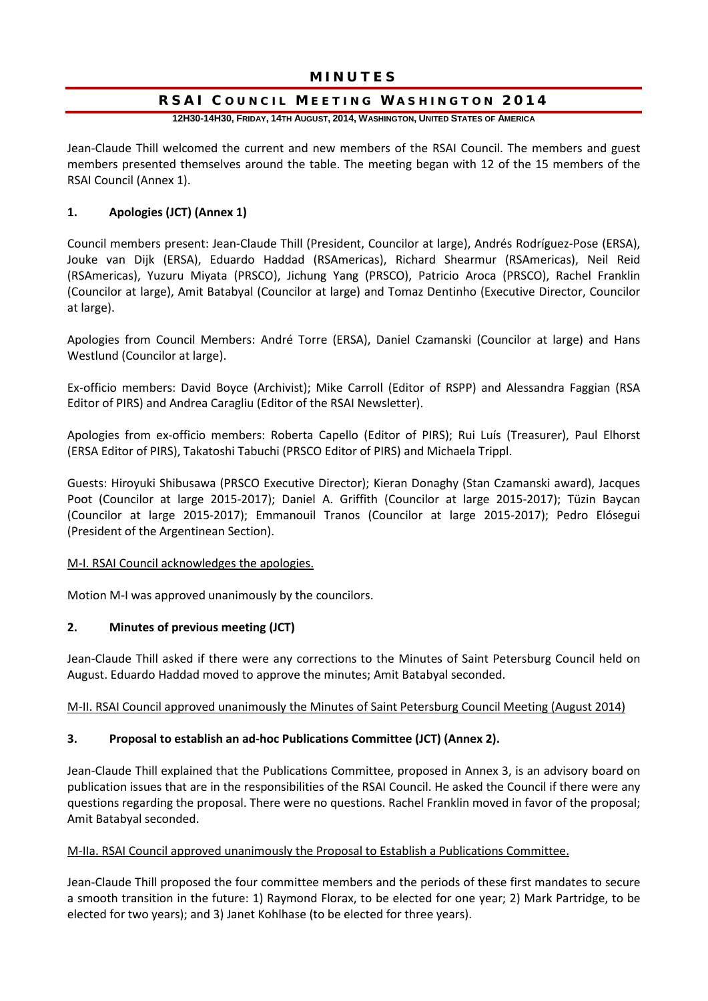# MINUTES

# RSAI COUNCIL MEETING WASHINGTON 2014

**12H30-14H30, FRIDAY, 14TH AUGUST, 2014, WASHINGTON, UNITED STATES OF AMERICA**

Jean-Claude Thill welcomed the current and new members of the RSAI Council. The members and guest members presented themselves around the table. The meeting began with 12 of the 15 members of the RSAI Council (Annex 1).

# **1. Apologies (JCT) (Annex 1)**

Council members present: Jean-Claude Thill (President, Councilor at large), Andrés Rodríguez-Pose (ERSA), Jouke van Dijk (ERSA), Eduardo Haddad (RSAmericas), Richard Shearmur (RSAmericas), Neil Reid (RSAmericas), Yuzuru Miyata (PRSCO), Jichung Yang (PRSCO), Patricio Aroca (PRSCO), Rachel Franklin (Councilor at large), Amit Batabyal (Councilor at large) and Tomaz Dentinho (Executive Director, Councilor at large).

Apologies from Council Members: André Torre (ERSA), Daniel Czamanski (Councilor at large) and Hans Westlund (Councilor at large).

Ex-officio members: David Boyce (Archivist); Mike Carroll (Editor of RSPP) and Alessandra Faggian (RSA Editor of PIRS) and Andrea Caragliu (Editor of the RSAI Newsletter).

Apologies from ex-officio members: Roberta Capello (Editor of PIRS); Rui Luís (Treasurer), Paul Elhorst (ERSA Editor of PIRS), Takatoshi Tabuchi (PRSCO Editor of PIRS) and Michaela Trippl.

Guests: Hiroyuki Shibusawa (PRSCO Executive Director); Kieran Donaghy (Stan Czamanski award), Jacques Poot (Councilor at large 2015-2017); Daniel A. Griffith (Councilor at large 2015-2017); Tüzin Baycan (Councilor at large 2015-2017); Emmanouil Tranos (Councilor at large 2015-2017); Pedro Elósegui (President of the Argentinean Section).

# M-I. RSAI Council acknowledges the apologies.

Motion M-I was approved unanimously by the councilors.

# **2. Minutes of previous meeting (JCT)**

Jean-Claude Thill asked if there were any corrections to the Minutes of Saint Petersburg Council held on August. Eduardo Haddad moved to approve the minutes; Amit Batabyal seconded.

# M-II. RSAI Council approved unanimously the Minutes of Saint Petersburg Council Meeting (August 2014)

# **3. Proposal to establish an ad-hoc Publications Committee (JCT) (Annex 2).**

Jean-Claude Thill explained that the Publications Committee, proposed in Annex 3, is an advisory board on publication issues that are in the responsibilities of the RSAI Council. He asked the Council if there were any questions regarding the proposal. There were no questions. Rachel Franklin moved in favor of the proposal; Amit Batabyal seconded.

#### M-IIa. RSAI Council approved unanimously the Proposal to Establish a Publications Committee.

Jean-Claude Thill proposed the four committee members and the periods of these first mandates to secure a smooth transition in the future: 1) Raymond Florax, to be elected for one year; 2) Mark Partridge, to be elected for two years); and 3) Janet Kohlhase (to be elected for three years).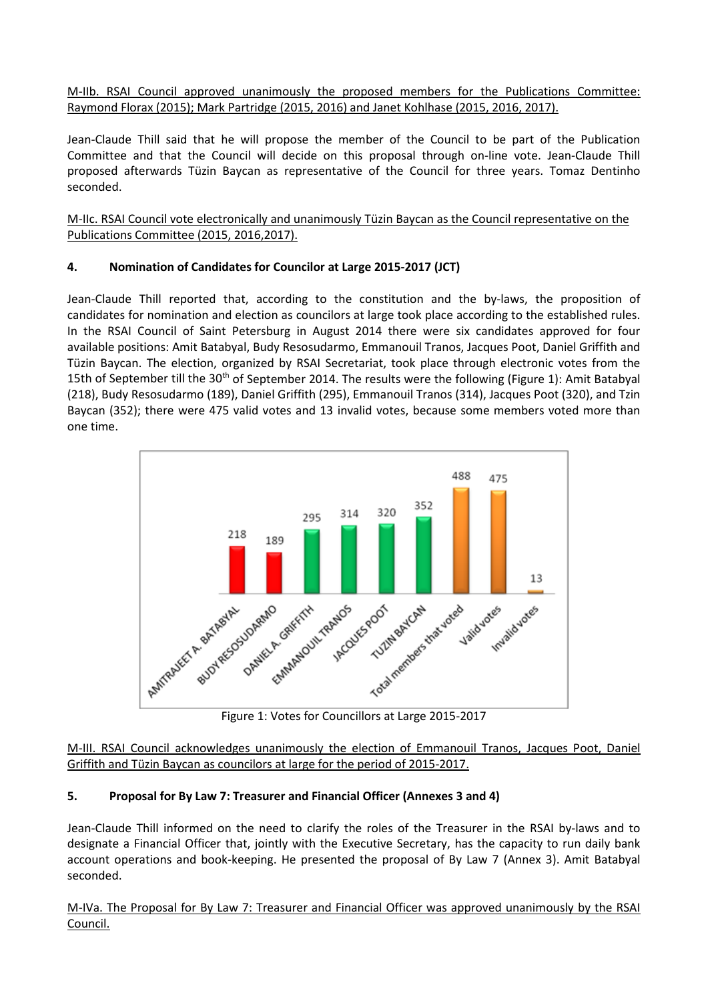M-IIb. RSAI Council approved unanimously the proposed members for the Publications Committee: Raymond Florax (2015); Mark Partridge (2015, 2016) and Janet Kohlhase (2015, 2016, 2017).

Jean-Claude Thill said that he will propose the member of the Council to be part of the Publication Committee and that the Council will decide on this proposal through on-line vote. Jean-Claude Thill proposed afterwards Tüzin Baycan as representative of the Council for three years. Tomaz Dentinho seconded.

M-IIc. RSAI Council vote electronically and unanimously Tüzin Baycan as the Council representative on the Publications Committee (2015, 2016,2017).

# **4. Nomination of Candidates for Councilor at Large 2015-2017 (JCT)**

Jean-Claude Thill reported that, according to the constitution and the by-laws, the proposition of candidates for nomination and election as councilors at large took place according to the established rules. In the RSAI Council of Saint Petersburg in August 2014 there were six candidates approved for four available positions: Amit Batabyal, Budy Resosudarmo, Emmanouil Tranos, Jacques Poot, Daniel Griffith and Tüzin Baycan. The election, organized by RSAI Secretariat, took place through electronic votes from the 15th of September till the 30<sup>th</sup> of September 2014. The results were the following (Figure 1): Amit Batabyal (218), Budy Resosudarmo (189), Daniel Griffith (295), Emmanouil Tranos (314), Jacques Poot (320), and Tzin Baycan (352); there were 475 valid votes and 13 invalid votes, because some members voted more than one time.



Figure 1: Votes for Councillors at Large 2015-2017

M-III. RSAI Council acknowledges unanimously the election of Emmanouil Tranos, Jacques Poot, Daniel Griffith and Tüzin Baycan as councilors at large for the period of 2015-2017.

# **5. Proposal for By Law 7: Treasurer and Financial Officer (Annexes 3 and 4)**

Jean-Claude Thill informed on the need to clarify the roles of the Treasurer in the RSAI by-laws and to designate a Financial Officer that, jointly with the Executive Secretary, has the capacity to run daily bank account operations and book-keeping. He presented the proposal of By Law 7 (Annex 3). Amit Batabyal seconded.

M-IVa. The Proposal for By Law 7: Treasurer and Financial Officer was approved unanimously by the RSAI Council.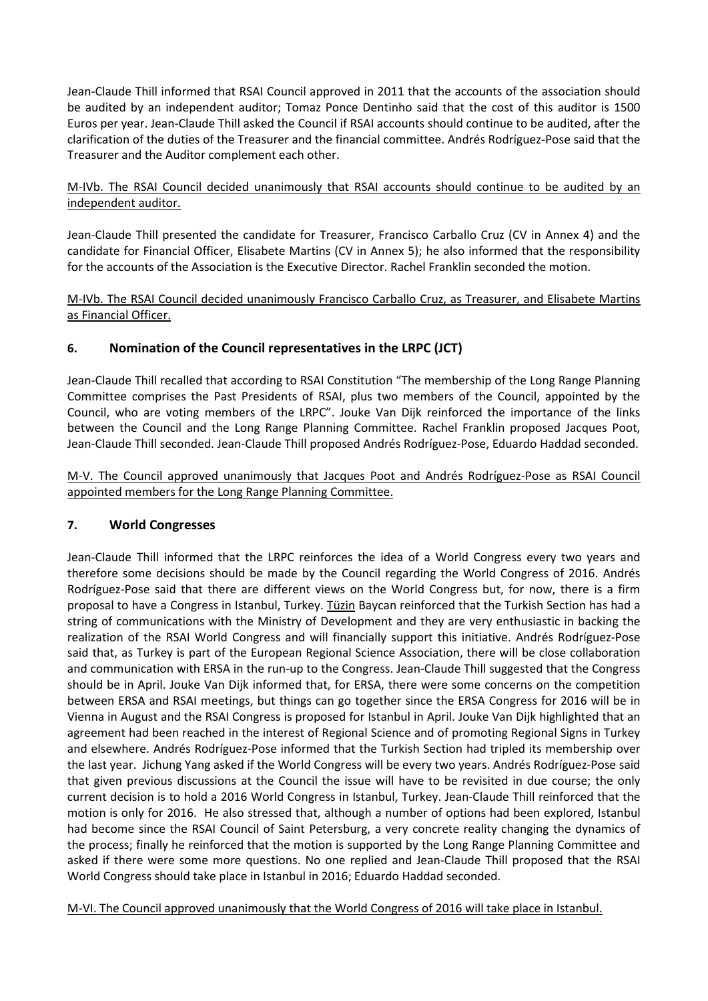Jean-Claude Thill informed that RSAI Council approved in 2011 that the accounts of the association should be audited by an independent auditor; Tomaz Ponce Dentinho said that the cost of this auditor is 1500 Euros per year. Jean-Claude Thill asked the Council if RSAI accounts should continue to be audited, after the clarification of the duties of the Treasurer and the financial committee. Andrés Rodríguez-Pose said that the Treasurer and the Auditor complement each other.

# M-IVb. The RSAI Council decided unanimously that RSAI accounts should continue to be audited by an independent auditor.

Jean-Claude Thill presented the candidate for Treasurer, Francisco Carballo Cruz (CV in Annex 4) and the candidate for Financial Officer, Elisabete Martins (CV in Annex 5); he also informed that the responsibility for the accounts of the Association is the Executive Director. Rachel Franklin seconded the motion.

# M-IVb. The RSAI Council decided unanimously Francisco Carballo Cruz, as Treasurer, and Elisabete Martins as Financial Officer.

# **6. Nomination of the Council representatives in the LRPC (JCT)**

Jean-Claude Thill recalled that according to RSAI Constitution "The membership of the Long Range Planning Committee comprises the Past Presidents of RSAI, plus two members of the Council, appointed by the Council, who are voting members of the LRPC". Jouke Van Dijk reinforced the importance of the links between the Council and the Long Range Planning Committee. Rachel Franklin proposed Jacques Poot, Jean-Claude Thill seconded. Jean-Claude Thill proposed Andrés Rodríguez-Pose, Eduardo Haddad seconded.

M-V. The Council approved unanimously that Jacques Poot and Andrés Rodríguez-Pose as RSAI Council appointed members for the Long Range Planning Committee.

# **7. World Congresses**

Jean-Claude Thill informed that the LRPC reinforces the idea of a World Congress every two years and therefore some decisions should be made by the Council regarding the World Congress of 2016. Andrés Rodríguez-Pose said that there are different views on the World Congress but, for now, there is a firm proposal to have a Congress in Istanbul, Turkey. Tüzin Baycan reinforced that the Turkish Section has had a string of communications with the Ministry of Development and they are very enthusiastic in backing the realization of the RSAI World Congress and will financially support this initiative. Andrés Rodríguez-Pose said that, as Turkey is part of the European Regional Science Association, there will be close collaboration and communication with ERSA in the run-up to the Congress. Jean-Claude Thill suggested that the Congress should be in April. Jouke Van Dijk informed that, for ERSA, there were some concerns on the competition between ERSA and RSAI meetings, but things can go together since the ERSA Congress for 2016 will be in Vienna in August and the RSAI Congress is proposed for Istanbul in April. Jouke Van Dijk highlighted that an agreement had been reached in the interest of Regional Science and of promoting Regional Signs in Turkey and elsewhere. Andrés Rodríguez-Pose informed that the Turkish Section had tripled its membership over the last year. Jichung Yang asked if the World Congress will be every two years. Andrés Rodríguez-Pose said that given previous discussions at the Council the issue will have to be revisited in due course; the only current decision is to hold a 2016 World Congress in Istanbul, Turkey. Jean-Claude Thill reinforced that the motion is only for 2016. He also stressed that, although a number of options had been explored, Istanbul had become since the RSAI Council of Saint Petersburg, a very concrete reality changing the dynamics of the process; finally he reinforced that the motion is supported by the Long Range Planning Committee and asked if there were some more questions. No one replied and Jean-Claude Thill proposed that the RSAI World Congress should take place in Istanbul in 2016; Eduardo Haddad seconded.

M-VI. The Council approved unanimously that the World Congress of 2016 will take place in Istanbul.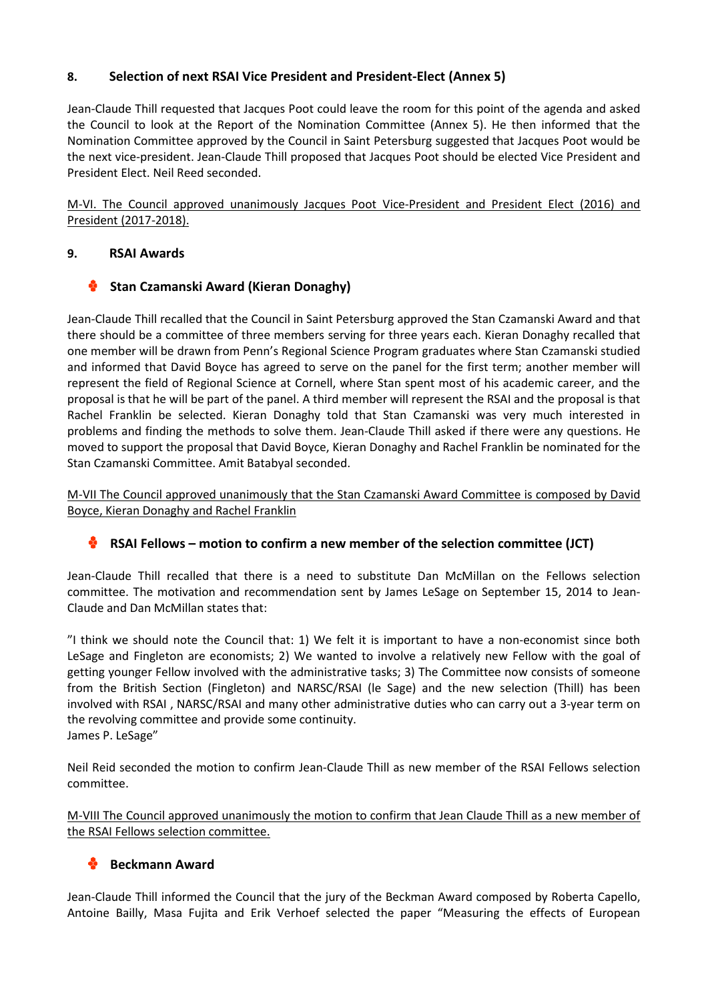# **8. Selection of next RSAI Vice President and President-Elect (Annex 5)**

Jean-Claude Thill requested that Jacques Poot could leave the room for this point of the agenda and asked the Council to look at the Report of the Nomination Committee (Annex 5). He then informed that the Nomination Committee approved by the Council in Saint Petersburg suggested that Jacques Poot would be the next vice-president. Jean-Claude Thill proposed that Jacques Poot should be elected Vice President and President Elect. Neil Reed seconded.

M-VI. The Council approved unanimously Jacques Poot Vice-President and President Elect (2016) and President (2017-2018).

# **9. RSAI Awards**

# **Stan Czamanski Award (Kieran Donaghy)**

Jean-Claude Thill recalled that the Council in Saint Petersburg approved the Stan Czamanski Award and that there should be a committee of three members serving for three years each. Kieran Donaghy recalled that one member will be drawn from Penn's Regional Science Program graduates where Stan Czamanski studied and informed that David Boyce has agreed to serve on the panel for the first term; another member will represent the field of Regional Science at Cornell, where Stan spent most of his academic career, and the proposal is that he will be part of the panel. A third member will represent the RSAI and the proposal is that Rachel Franklin be selected. Kieran Donaghy told that Stan Czamanski was very much interested in problems and finding the methods to solve them. Jean-Claude Thill asked if there were any questions. He moved to support the proposal that David Boyce, Kieran Donaghy and Rachel Franklin be nominated for the Stan Czamanski Committee. Amit Batabyal seconded.

M-VII The Council approved unanimously that the Stan Czamanski Award Committee is composed by David Boyce, Kieran Donaghy and Rachel Franklin

# **RSAI Fellows – motion to confirm a new member of the selection committee (JCT)**

Jean-Claude Thill recalled that there is a need to substitute Dan McMillan on the Fellows selection committee. The motivation and recommendation sent by James LeSage on September 15, 2014 to Jean-Claude and Dan McMillan states that:

"I think we should note the Council that: 1) We felt it is important to have a non-economist since both LeSage and Fingleton are economists; 2) We wanted to involve a relatively new Fellow with the goal of getting younger Fellow involved with the administrative tasks; 3) The Committee now consists of someone from the British Section (Fingleton) and NARSC/RSAI (le Sage) and the new selection (Thill) has been involved with RSAI , NARSC/RSAI and many other administrative duties who can carry out a 3-year term on the revolving committee and provide some continuity. James P. LeSage"

Neil Reid seconded the motion to confirm Jean-Claude Thill as new member of the RSAI Fellows selection committee.

M-VIII The Council approved unanimously the motion to confirm that Jean Claude Thill as a new member of the RSAI Fellows selection committee.

# **Beckmann Award**

Jean-Claude Thill informed the Council that the jury of the Beckman Award composed by Roberta Capello, Antoine Bailly, Masa Fujita and Erik Verhoef selected the paper "Measuring the effects of European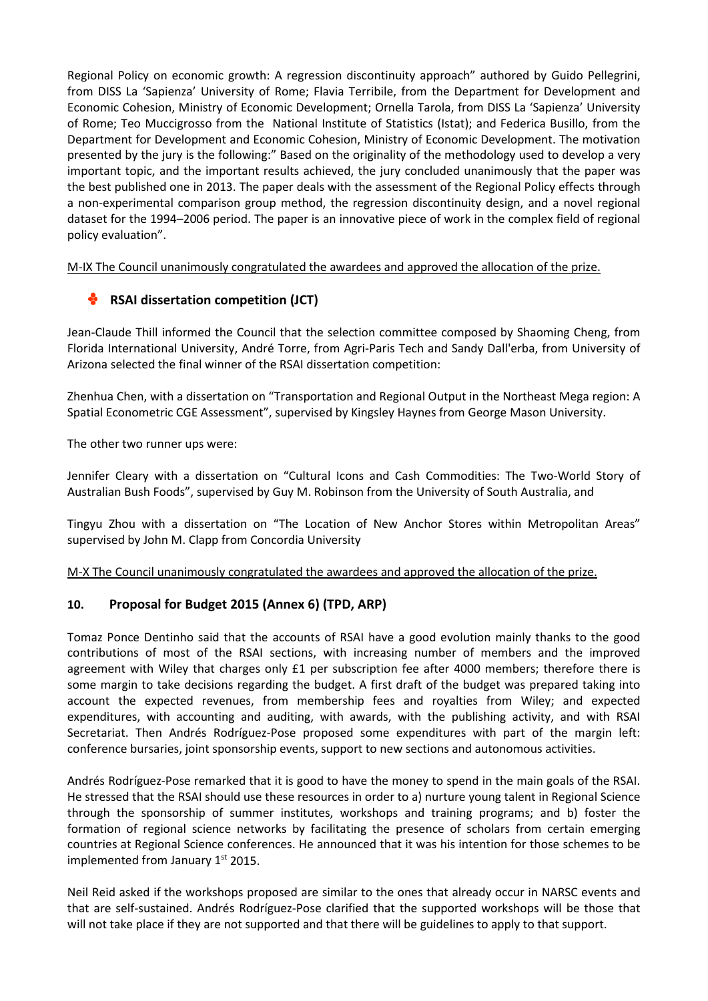Regional Policy on economic growth: A regression discontinuity approach" authored by Guido Pellegrini, from DISS La 'Sapienza' University of Rome; Flavia Terribile, from the Department for Development and Economic Cohesion, Ministry of Economic Development; Ornella Tarola, from DISS La 'Sapienza' University of Rome; Teo Muccigrosso from the National Institute of Statistics (Istat); and Federica Busillo, from the Department for Development and Economic Cohesion, Ministry of Economic Development. The motivation presented by the jury is the following:" Based on the originality of the methodology used to develop a very important topic, and the important results achieved, the jury concluded unanimously that the paper was the best published one in 2013. The paper deals with the assessment of the Regional Policy effects through a non-experimental comparison group method, the regression discontinuity design, and a novel regional dataset for the 1994–2006 period. The paper is an innovative piece of work in the complex field of regional policy evaluation".

M-IX The Council unanimously congratulated the awardees and approved the allocation of the prize.

# **RSAI dissertation competition (JCT)**

Jean-Claude Thill informed the Council that the selection committee composed by Shaoming Cheng, from Florida International University, André Torre, from Agri-Paris Tech and Sandy Dall'erba, from University of Arizona selected the final winner of the RSAI dissertation competition:

Zhenhua Chen, with a dissertation on "Transportation and Regional Output in the Northeast Mega region: A Spatial Econometric CGE Assessment", supervised by Kingsley Haynes from George Mason University.

The other two runner ups were:

Jennifer Cleary with a dissertation on "Cultural Icons and Cash Commodities: The Two-World Story of Australian Bush Foods", supervised by Guy M. Robinson from the University of South Australia, and

Tingyu Zhou with a dissertation on "The Location of New Anchor Stores within Metropolitan Areas" supervised by John M. Clapp from Concordia University

M-X The Council unanimously congratulated the awardees and approved the allocation of the prize.

# **10. Proposal for Budget 2015 (Annex 6) (TPD, ARP)**

Tomaz Ponce Dentinho said that the accounts of RSAI have a good evolution mainly thanks to the good contributions of most of the RSAI sections, with increasing number of members and the improved agreement with Wiley that charges only £1 per subscription fee after 4000 members; therefore there is some margin to take decisions regarding the budget. A first draft of the budget was prepared taking into account the expected revenues, from membership fees and royalties from Wiley; and expected expenditures, with accounting and auditing, with awards, with the publishing activity, and with RSAI Secretariat. Then Andrés Rodríguez-Pose proposed some expenditures with part of the margin left: conference bursaries, joint sponsorship events, support to new sections and autonomous activities.

Andrés Rodríguez-Pose remarked that it is good to have the money to spend in the main goals of the RSAI. He stressed that the RSAI should use these resources in order to a) nurture young talent in Regional Science through the sponsorship of summer institutes, workshops and training programs; and b) foster the formation of regional science networks by facilitating the presence of scholars from certain emerging countries at Regional Science conferences. He announced that it was his intention for those schemes to be implemented from January  $1<sup>st</sup>$  2015.

Neil Reid asked if the workshops proposed are similar to the ones that already occur in NARSC events and that are self-sustained. Andrés Rodríguez-Pose clarified that the supported workshops will be those that will not take place if they are not supported and that there will be guidelines to apply to that support.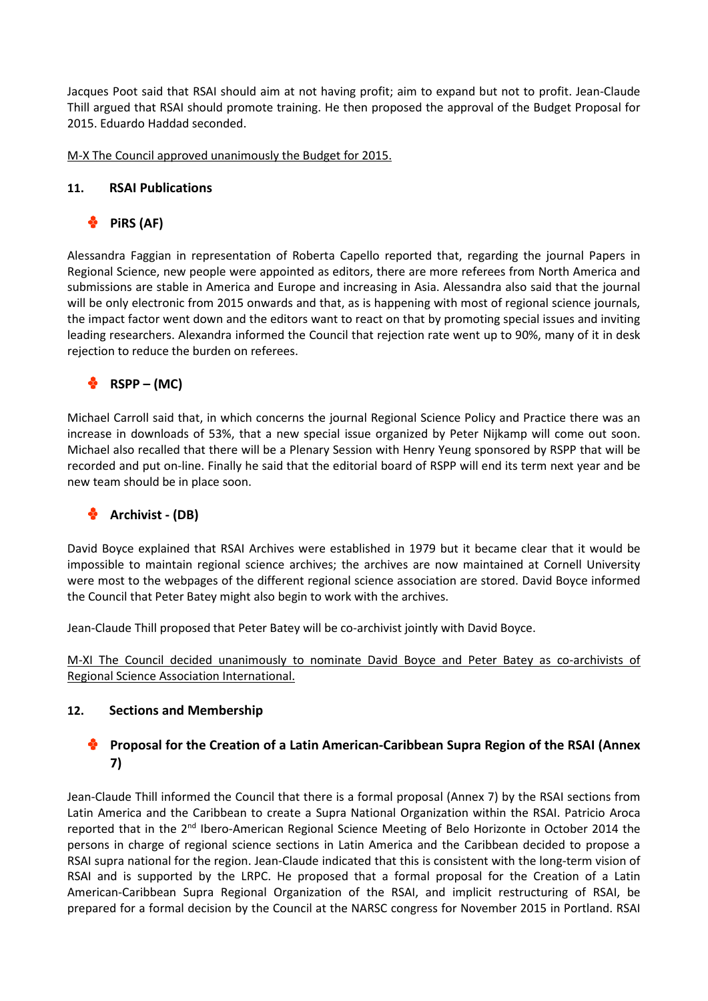Jacques Poot said that RSAI should aim at not having profit; aim to expand but not to profit. Jean-Claude Thill argued that RSAI should promote training. He then proposed the approval of the Budget Proposal for 2015. Eduardo Haddad seconded.

M-X The Council approved unanimously the Budget for 2015.

# **11. RSAI Publications**

# **PiRS (AF)**

Alessandra Faggian in representation of Roberta Capello reported that, regarding the journal Papers in Regional Science, new people were appointed as editors, there are more referees from North America and submissions are stable in America and Europe and increasing in Asia. Alessandra also said that the journal will be only electronic from 2015 onwards and that, as is happening with most of regional science journals, the impact factor went down and the editors want to react on that by promoting special issues and inviting leading researchers. Alexandra informed the Council that rejection rate went up to 90%, many of it in desk rejection to reduce the burden on referees.

# **RSPP – (MC)**

Michael Carroll said that, in which concerns the journal Regional Science Policy and Practice there was an increase in downloads of 53%, that a new special issue organized by Peter Nijkamp will come out soon. Michael also recalled that there will be a Plenary Session with Henry Yeung sponsored by RSPP that will be recorded and put on-line. Finally he said that the editorial board of RSPP will end its term next year and be new team should be in place soon.

# **Archivist - (DB)**

David Boyce explained that RSAI Archives were established in 1979 but it became clear that it would be impossible to maintain regional science archives; the archives are now maintained at Cornell University were most to the webpages of the different regional science association are stored. David Boyce informed the Council that Peter Batey might also begin to work with the archives.

Jean-Claude Thill proposed that Peter Batey will be co-archivist jointly with David Boyce.

M-XI The Council decided unanimously to nominate David Boyce and Peter Batey as co-archivists of Regional Science Association International.

# **12. Sections and Membership**

# **Proposal for the Creation of a Latin American-Caribbean Supra Region of the RSAI (Annex 7)**

Jean-Claude Thill informed the Council that there is a formal proposal (Annex 7) by the RSAI sections from Latin America and the Caribbean to create a Supra National Organization within the RSAI. Patricio Aroca reported that in the 2nd Ibero-American Regional Science Meeting of Belo Horizonte in October 2014 the persons in charge of regional science sections in Latin America and the Caribbean decided to propose a RSAI supra national for the region. Jean-Claude indicated that this is consistent with the long-term vision of RSAI and is supported by the LRPC. He proposed that a formal proposal for the Creation of a Latin American-Caribbean Supra Regional Organization of the RSAI, and implicit restructuring of RSAI, be prepared for a formal decision by the Council at the NARSC congress for November 2015 in Portland. RSAI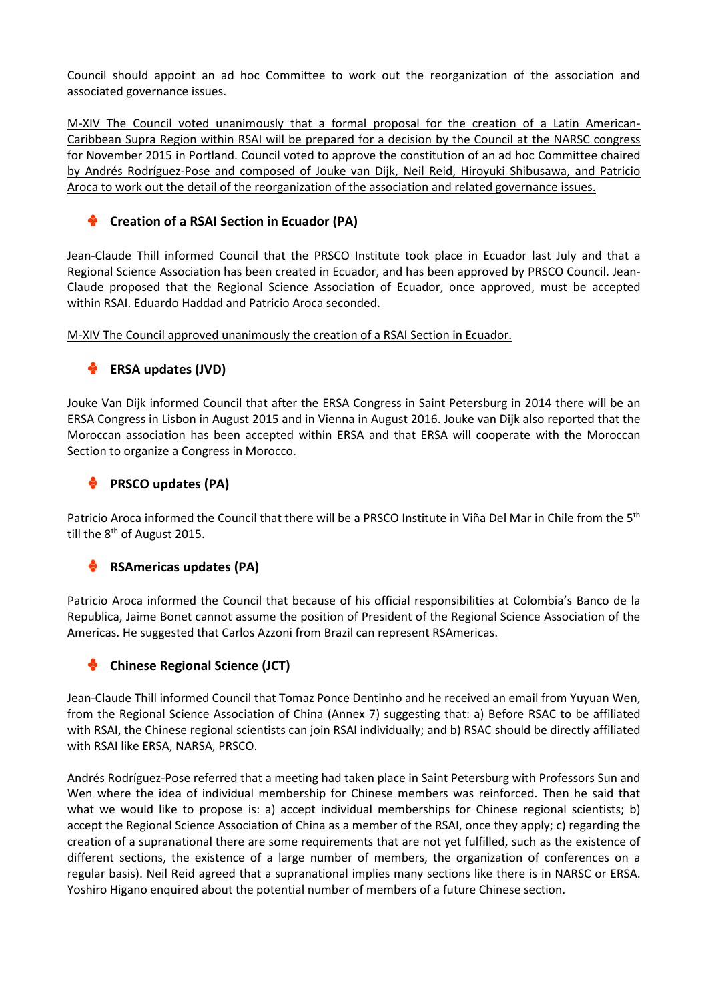Council should appoint an ad hoc Committee to work out the reorganization of the association and associated governance issues.

M-XIV The Council voted unanimously that a formal proposal for the creation of a Latin American-Caribbean Supra Region within RSAI will be prepared for a decision by the Council at the NARSC congress for November 2015 in Portland. Council voted to approve the constitution of an ad hoc Committee chaired by Andrés Rodríguez-Pose and composed of Jouke van Dijk, Neil Reid, Hiroyuki Shibusawa, and Patricio Aroca to work out the detail of the reorganization of the association and related governance issues.

#### **Creation of a RSAI Section in Ecuador (PA)** Ф

Jean-Claude Thill informed Council that the PRSCO Institute took place in Ecuador last July and that a Regional Science Association has been created in Ecuador, and has been approved by PRSCO Council. Jean-Claude proposed that the Regional Science Association of Ecuador, once approved, must be accepted within RSAI. Eduardo Haddad and Patricio Aroca seconded.

M-XIV The Council approved unanimously the creation of a RSAI Section in Ecuador.

# **ERSA updates (JVD)**

Jouke Van Dijk informed Council that after the ERSA Congress in Saint Petersburg in 2014 there will be an ERSA Congress in Lisbon in August 2015 and in Vienna in August 2016. Jouke van Dijk also reported that the Moroccan association has been accepted within ERSA and that ERSA will cooperate with the Moroccan Section to organize a Congress in Morocco.

# **PRSCO updates (PA)**

Patricio Aroca informed the Council that there will be a PRSCO Institute in Viña Del Mar in Chile from the 5<sup>th</sup> till the 8<sup>th</sup> of August 2015.

# **RSAmericas updates (PA)**

Patricio Aroca informed the Council that because of his official responsibilities at Colombia's Banco de la Republica, Jaime Bonet cannot assume the position of President of the Regional Science Association of the Americas. He suggested that Carlos Azzoni from Brazil can represent RSAmericas.

# **Chinese Regional Science (JCT)**

Jean-Claude Thill informed Council that Tomaz Ponce Dentinho and he received an email from Yuyuan Wen, from the Regional Science Association of China (Annex 7) suggesting that: a) Before RSAC to be affiliated with RSAI, the Chinese regional scientists can join RSAI individually; and b) RSAC should be directly affiliated with RSAI like ERSA, NARSA, PRSCO.

Andrés Rodríguez-Pose referred that a meeting had taken place in Saint Petersburg with Professors Sun and Wen where the idea of individual membership for Chinese members was reinforced. Then he said that what we would like to propose is: a) accept individual memberships for Chinese regional scientists; b) accept the Regional Science Association of China as a member of the RSAI, once they apply; c) regarding the creation of a supranational there are some requirements that are not yet fulfilled, such as the existence of different sections, the existence of a large number of members, the organization of conferences on a regular basis). Neil Reid agreed that a supranational implies many sections like there is in NARSC or ERSA. Yoshiro Higano enquired about the potential number of members of a future Chinese section.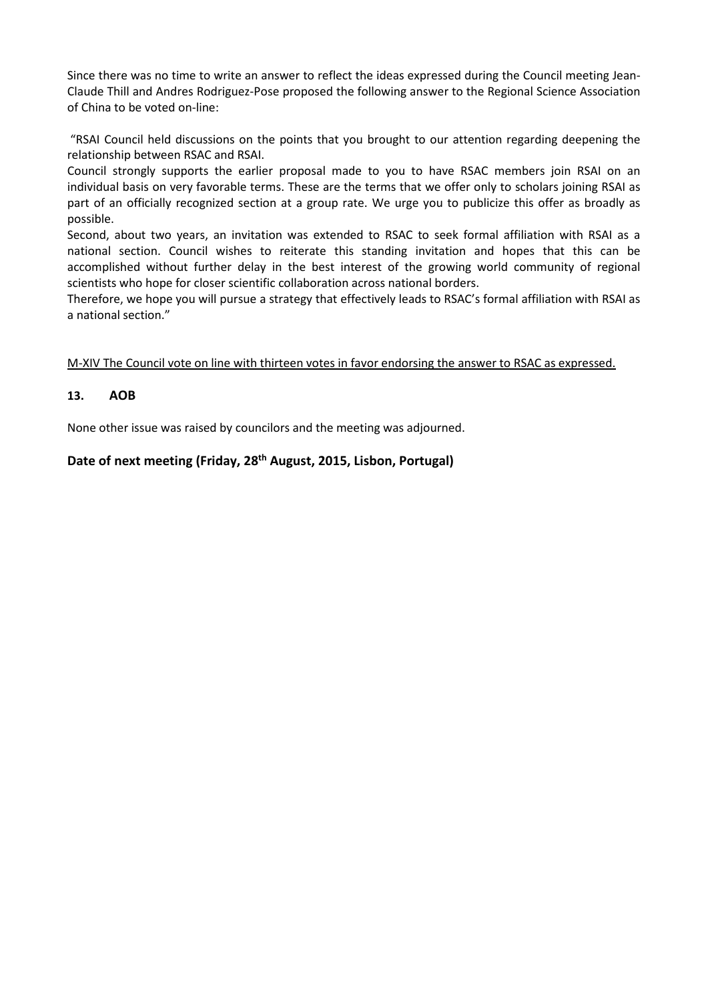Since there was no time to write an answer to reflect the ideas expressed during the Council meeting Jean-Claude Thill and Andres Rodriguez-Pose proposed the following answer to the Regional Science Association of China to be voted on-line:

"RSAI Council held discussions on the points that you brought to our attention regarding deepening the relationship between RSAC and RSAI.

Council strongly supports the earlier proposal made to you to have RSAC members join RSAI on an individual basis on very favorable terms. These are the terms that we offer only to scholars joining RSAI as part of an officially recognized section at a group rate. We urge you to publicize this offer as broadly as possible.

Second, about two years, an invitation was extended to RSAC to seek formal affiliation with RSAI as a national section. Council wishes to reiterate this standing invitation and hopes that this can be accomplished without further delay in the best interest of the growing world community of regional scientists who hope for closer scientific collaboration across national borders.

Therefore, we hope you will pursue a strategy that effectively leads to RSAC's formal affiliation with RSAI as a national section."

M-XIV The Council vote on line with thirteen votes in favor endorsing the answer to RSAC as expressed.

# **13. AOB**

None other issue was raised by councilors and the meeting was adjourned.

# **Date of next meeting (Friday, 28th August, 2015, Lisbon, Portugal)**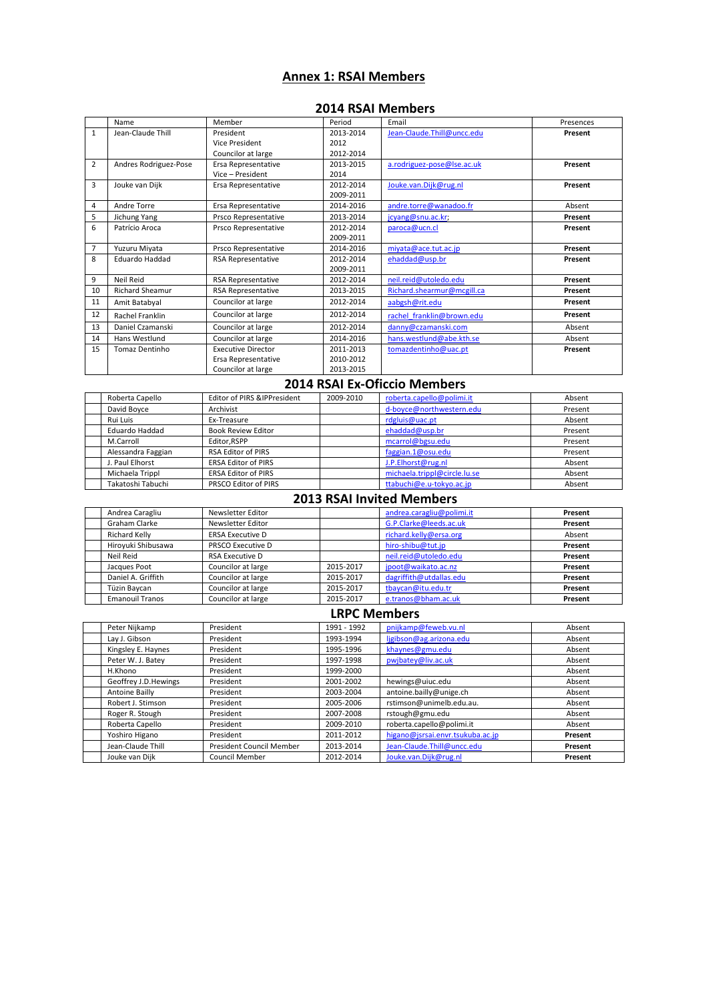# **Annex 1: RSAI Members**

#### **2014 RSAI Members**

|                | Name                   | Member                    | Period    | Email                      | Presences |
|----------------|------------------------|---------------------------|-----------|----------------------------|-----------|
| $\mathbf{1}$   | Jean-Claude Thill      | President                 | 2013-2014 | Jean-Claude.Thill@uncc.edu | Present   |
|                |                        | Vice President            | 2012      |                            |           |
|                |                        | Councilor at large        | 2012-2014 |                            |           |
| $\overline{2}$ | Andres Rodriguez-Pose  | Ersa Representative       | 2013-2015 | a.rodriguez-pose@lse.ac.uk | Present   |
|                |                        | Vice - President          | 2014      |                            |           |
| 3              | Jouke van Dijk         | Ersa Representative       | 2012-2014 | Jouke.van.Dijk@rug.nl      | Present   |
|                |                        |                           | 2009-2011 |                            |           |
| 4              | Andre Torre            | Ersa Representative       | 2014-2016 | andre.torre@wanadoo.fr     | Absent    |
| 5              | Jichung Yang           | Prsco Representative      | 2013-2014 | jcyang@snu.ac.kr;          | Present   |
| 6              | Patrício Aroca         | Prsco Representative      | 2012-2014 | paroca@ucn.cl              | Present   |
|                |                        |                           | 2009-2011 |                            |           |
| $\overline{7}$ | Yuzuru Miyata          | Prsco Representative      | 2014-2016 | miyata@ace.tut.ac.jp       | Present   |
| 8              | Eduardo Haddad         | <b>RSA Representative</b> | 2012-2014 | ehaddad@usp.br             | Present   |
|                |                        |                           | 2009-2011 |                            |           |
| 9              | Neil Reid              | <b>RSA Representative</b> | 2012-2014 | neil.reid@utoledo.edu      | Present   |
| 10             | <b>Richard Sheamur</b> | <b>RSA Representative</b> | 2013-2015 | Richard.shearmur@mcgill.ca | Present   |
| 11             | Amit Batabyal          | Councilor at large        | 2012-2014 | aabgsh@rit.edu             | Present   |
| 12             | Rachel Franklin        | Councilor at large        | 2012-2014 | rachel franklin@brown.edu  | Present   |
| 13             | Daniel Czamanski       | Councilor at large        | 2012-2014 | danny@czamanski.com        | Absent    |
| 14             | Hans Westlund          | Councilor at large        | 2014-2016 | hans.westlund@abe.kth.se   | Absent    |
| 15             | Tomaz Dentinho         | <b>Executive Director</b> | 2011-2013 | tomazdentinho@uac.pt       | Present   |
|                |                        | Ersa Representative       | 2010-2012 |                            |           |
|                |                        | Councilor at large        | 2013-2015 |                            |           |

# **2014 RSAI Ex-Oficcio Members**

| Roberta Capello         | Editor of PIRS & IPPresident | 2009-2010 | roberta.capello@polimi.it    | Absent  |
|-------------------------|------------------------------|-----------|------------------------------|---------|
| David Boyce             | Archivist                    |           | d-boyce@northwestern.edu     | Present |
| Rui Luis<br>Ex-Treasure |                              |           | rdgluis@uac.pt               | Absent  |
| Eduardo Haddad          | <b>Book Review Editor</b>    |           | ehaddad@usp.br               | Present |
| M.Carroll               | Editor RSPP                  |           | mcarrol@bgsu.edu             | Present |
| Alessandra Faggian      | <b>RSA Editor of PIRS</b>    |           | faggian.1@osu.edu            | Present |
| J. Paul Elhorst         | <b>ERSA Editor of PIRS</b>   |           | J.P.Elhorst@rug.nl           | Absent  |
| Michaela Trippl         | <b>ERSA Editor of PIRS</b>   |           | michaela.trippl@circle.lu.se | Absent  |
| Takatoshi Tabuchi       | PRSCO Editor of PIRS         |           | ttabuchi@e.u-tokyo.ac.jp     | Absent  |

#### **2013 RSAI Invited Members**

| Andrea Caragliu                                 | Newsletter Editor        |           | andrea.caragliu@polimi.it | Present |
|-------------------------------------------------|--------------------------|-----------|---------------------------|---------|
| Newsletter Editor<br>Graham Clarke              |                          |           | G.P.Clarke@leeds.ac.uk    | Present |
| <b>ERSA Executive D</b><br><b>Richard Kelly</b> |                          |           | richard.kelly@ersa.org    | Absent  |
| Hirovuki Shibusawa                              | <b>PRSCO Executive D</b> |           | hiro-shibu@tut.jp         | Present |
| Neil Reid                                       | <b>RSA Executive D</b>   |           | neil.reid@utoledo.edu     | Present |
| Jacques Poot                                    | Councilor at large       | 2015-2017 | jpoot@waikato.ac.nz       | Present |
| Daniel A. Griffith                              | Councilor at large       | 2015-2017 | dagriffith@utdallas.edu   | Present |
| Tüzin Baycan                                    | Councilor at large       | 2015-2017 | tbaycan@itu.edu.tr        | Present |
| <b>Emanouil Tranos</b>                          | Councilor at large       | 2015-2017 | e.tranos@bham.ac.uk       | Present |

### **LRPC Members**

| Peter Nijkamp         | President                | 1991 - 1992 | pnijkamp@feweb.vu.nl             | Absent  |
|-----------------------|--------------------------|-------------|----------------------------------|---------|
| Lay J. Gibson         | President                | 1993-1994   | ligibson@ag.arizona.edu          | Absent  |
| Kingsley E. Haynes    | President                | 1995-1996   | khaynes@gmu.edu                  | Absent  |
| Peter W. J. Batey     | President                | 1997-1998   | pwjbatey@liv.ac.uk               | Absent  |
| H.Khono               | President                | 1999-2000   |                                  | Absent  |
| Geoffrey J.D. Hewings | President                | 2001-2002   | hewings@uiuc.edu                 | Absent  |
| Antoine Bailly        | President                | 2003-2004   | antoine.bailly@unige.ch          | Absent  |
| Robert J. Stimson     | President                | 2005-2006   | rstimson@unimelb.edu.au.         | Absent  |
| Roger R. Stough       | President                | 2007-2008   | rstough@gmu.edu                  | Absent  |
| Roberta Capello       | President                | 2009-2010   | roberta.capello@polimi.it        | Absent  |
| Yoshiro Higano        | President                | 2011-2012   | higano@jsrsai.envr.tsukuba.ac.jp | Present |
| Jean-Claude Thill     | President Council Member | 2013-2014   | Jean-Claude.Thill@uncc.edu       | Present |
| Jouke van Dijk        | Council Member           | 2012-2014   | Jouke.van.Dijk@rug.nl            | Present |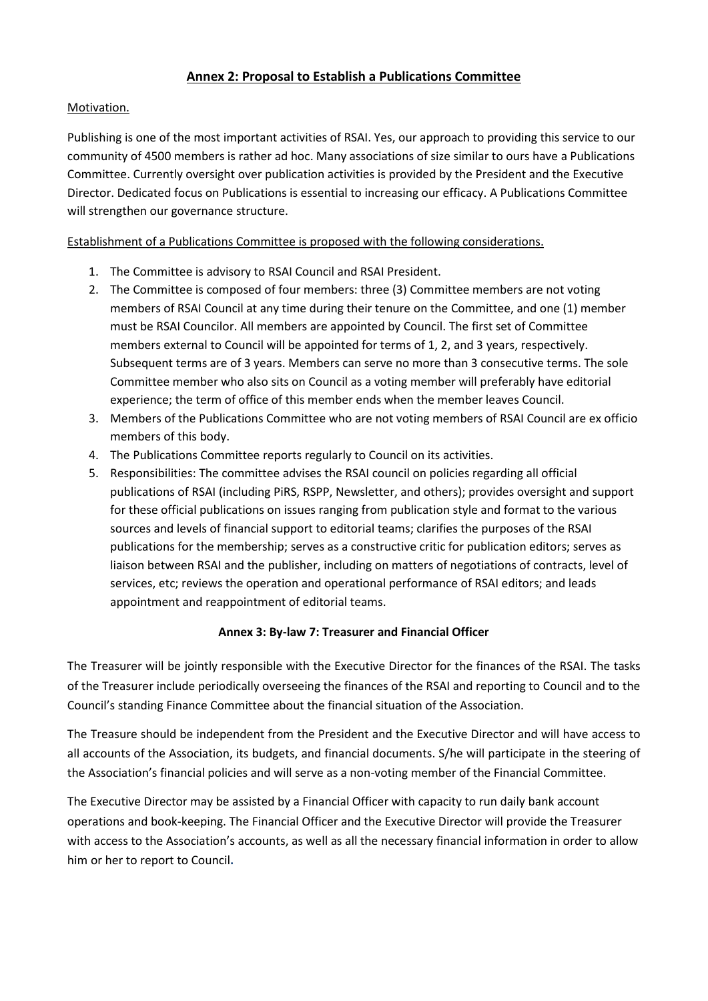# **Annex 2: Proposal to Establish a Publications Committee**

# Motivation.

Publishing is one of the most important activities of RSAI. Yes, our approach to providing this service to our community of 4500 members is rather ad hoc. Many associations of size similar to ours have a Publications Committee. Currently oversight over publication activities is provided by the President and the Executive Director. Dedicated focus on Publications is essential to increasing our efficacy. A Publications Committee will strengthen our governance structure.

# Establishment of a Publications Committee is proposed with the following considerations.

- 1. The Committee is advisory to RSAI Council and RSAI President.
- 2. The Committee is composed of four members: three (3) Committee members are not voting members of RSAI Council at any time during their tenure on the Committee, and one (1) member must be RSAI Councilor. All members are appointed by Council. The first set of Committee members external to Council will be appointed for terms of 1, 2, and 3 years, respectively. Subsequent terms are of 3 years. Members can serve no more than 3 consecutive terms. The sole Committee member who also sits on Council as a voting member will preferably have editorial experience; the term of office of this member ends when the member leaves Council.
- 3. Members of the Publications Committee who are not voting members of RSAI Council are ex officio members of this body.
- 4. The Publications Committee reports regularly to Council on its activities.
- 5. Responsibilities: The committee advises the RSAI council on policies regarding all official publications of RSAI (including PiRS, RSPP, Newsletter, and others); provides oversight and support for these official publications on issues ranging from publication style and format to the various sources and levels of financial support to editorial teams; clarifies the purposes of the RSAI publications for the membership; serves as a constructive critic for publication editors; serves as liaison between RSAI and the publisher, including on matters of negotiations of contracts, level of services, etc; reviews the operation and operational performance of RSAI editors; and leads appointment and reappointment of editorial teams.

# **Annex 3: By-law 7: Treasurer and Financial Officer**

The Treasurer will be jointly responsible with the Executive Director for the finances of the RSAI. The tasks of the Treasurer include periodically overseeing the finances of the RSAI and reporting to Council and to the Council's standing Finance Committee about the financial situation of the Association.

The Treasure should be independent from the President and the Executive Director and will have access to all accounts of the Association, its budgets, and financial documents. S/he will participate in the steering of the Association's financial policies and will serve as a non-voting member of the Financial Committee.

The Executive Director may be assisted by a Financial Officer with capacity to run daily bank account operations and book-keeping. The Financial Officer and the Executive Director will provide the Treasurer with access to the Association's accounts, as well as all the necessary financial information in order to allow him or her to report to Council**.**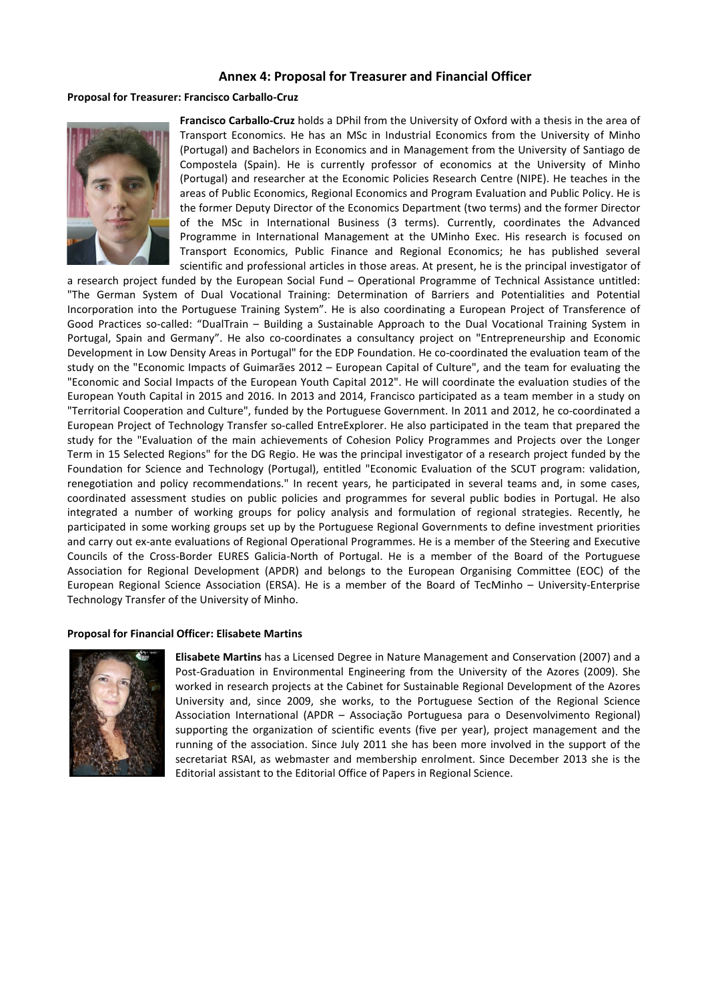#### **Annex 4: Proposal for Treasurer and Financial Officer**

#### **Proposal for Treasurer: Francisco Carballo-Cruz**



**Francisco Carballo-Cruz** holds a DPhil from the University of Oxford with a thesis in the area of Transport Economics. He has an MSc in Industrial Economics from the University of Minho (Portugal) and Bachelors in Economics and in Management from the University of Santiago de Compostela (Spain). He is currently professor of economics at the University of Minho (Portugal) and researcher at the Economic Policies Research Centre (NIPE). He teaches in the areas of Public Economics, Regional Economics and Program Evaluation and Public Policy. He is the former Deputy Director of the Economics Department (two terms) and the former Director of the MSc in International Business (3 terms). Currently, coordinates the Advanced Programme in International Management at the UMinho Exec. His research is focused on Transport Economics, Public Finance and Regional Economics; he has published several scientific and professional articles in those areas. At present, he is the principal investigator of

a research project funded by the European Social Fund – Operational Programme of Technical Assistance untitled: "The German System of Dual Vocational Training: Determination of Barriers and Potentialities and Potential Incorporation into the Portuguese Training System". He is also coordinating a European Project of Transference of Good Practices so-called: "DualTrain – Building a Sustainable Approach to the Dual Vocational Training System in Portugal, Spain and Germany". He also co-coordinates a consultancy project on "Entrepreneurship and Economic Development in Low Density Areas in Portugal" for the EDP Foundation. He co-coordinated the evaluation team of the study on the "Economic Impacts of Guimarães 2012 – European Capital of Culture", and the team for evaluating the "Economic and Social Impacts of the European Youth Capital 2012". He will coordinate the evaluation studies of the European Youth Capital in 2015 and 2016. In 2013 and 2014, Francisco participated as a team member in a study on "Territorial Cooperation and Culture", funded by the Portuguese Government. In 2011 and 2012, he co-coordinated a European Project of Technology Transfer so-called EntreExplorer. He also participated in the team that prepared the study for the "Evaluation of the main achievements of Cohesion Policy Programmes and Projects over the Longer Term in 15 Selected Regions" for the DG Regio. He was the principal investigator of a research project funded by the Foundation for Science and Technology (Portugal), entitled "Economic Evaluation of the SCUT program: validation, renegotiation and policy recommendations." In recent years, he participated in several teams and, in some cases, coordinated assessment studies on public policies and programmes for several public bodies in Portugal. He also integrated a number of working groups for policy analysis and formulation of regional strategies. Recently, he participated in some working groups set up by the Portuguese Regional Governments to define investment priorities and carry out ex-ante evaluations of Regional Operational Programmes. He is a member of the Steering and Executive Councils of the Cross-Border EURES Galicia-North of Portugal. He is a member of the Board of the Portuguese Association for Regional Development (APDR) and belongs to the European Organising Committee (EOC) of the European Regional Science Association (ERSA). He is a member of the Board of TecMinho – University-Enterprise Technology Transfer of the University of Minho.

#### **Proposal for Financial Officer: Elisabete Martins**



**Elisabete Martins** has a Licensed Degree in Nature Management and Conservation (2007) and a Post-Graduation in Environmental Engineering from the University of the Azores (2009). She worked in research projects at the Cabinet for Sustainable Regional Development of the Azores University and, since 2009, she works, to the Portuguese Section of the Regional Science Association International (APDR – Associação Portuguesa para o Desenvolvimento Regional) supporting the organization of scientific events (five per year), project management and the running of the association. Since July 2011 she has been more involved in the support of the secretariat RSAI, as webmaster and membership enrolment. Since December 2013 she is the Editorial assistant to the Editorial Office of Papers in Regional Science.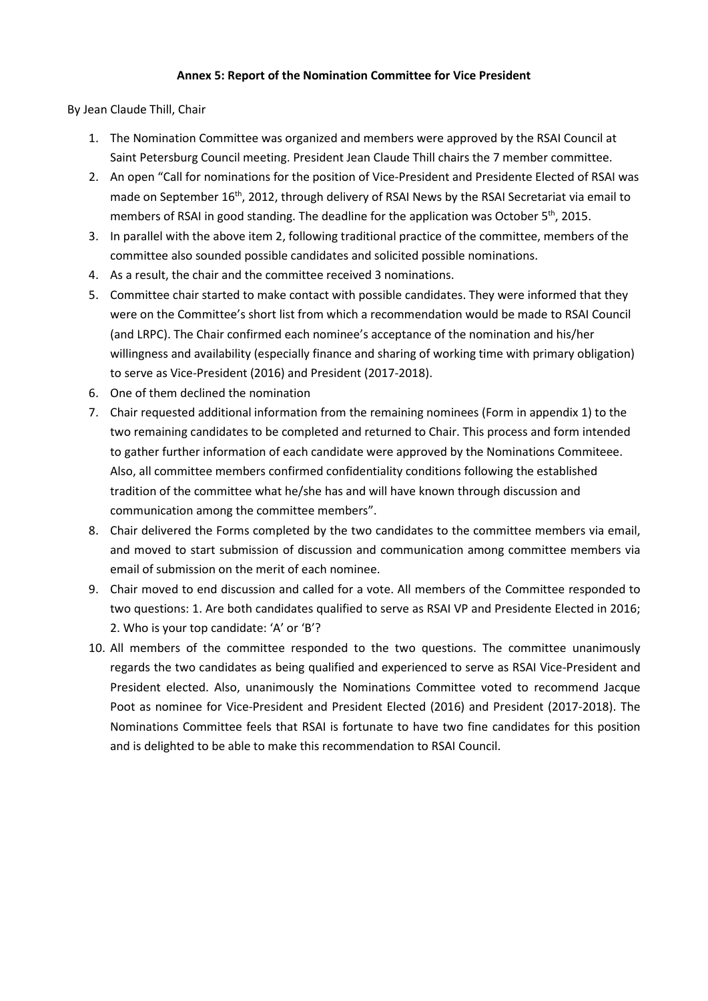### **Annex 5: Report of the Nomination Committee for Vice President**

By Jean Claude Thill, Chair

- 1. The Nomination Committee was organized and members were approved by the RSAI Council at Saint Petersburg Council meeting. President Jean Claude Thill chairs the 7 member committee.
- 2. An open "Call for nominations for the position of Vice-President and Presidente Elected of RSAI was made on September 16<sup>th</sup>, 2012, through delivery of RSAI News by the RSAI Secretariat via email to members of RSAI in good standing. The deadline for the application was October  $5<sup>th</sup>$ , 2015.
- 3. In parallel with the above item 2, following traditional practice of the committee, members of the committee also sounded possible candidates and solicited possible nominations.
- 4. As a result, the chair and the committee received 3 nominations.
- 5. Committee chair started to make contact with possible candidates. They were informed that they were on the Committee's short list from which a recommendation would be made to RSAI Council (and LRPC). The Chair confirmed each nominee's acceptance of the nomination and his/her willingness and availability (especially finance and sharing of working time with primary obligation) to serve as Vice-President (2016) and President (2017-2018).
- 6. One of them declined the nomination
- 7. Chair requested additional information from the remaining nominees (Form in appendix 1) to the two remaining candidates to be completed and returned to Chair. This process and form intended to gather further information of each candidate were approved by the Nominations Commiteee. Also, all committee members confirmed confidentiality conditions following the established tradition of the committee what he/she has and will have known through discussion and communication among the committee members".
- 8. Chair delivered the Forms completed by the two candidates to the committee members via email, and moved to start submission of discussion and communication among committee members via email of submission on the merit of each nominee.
- 9. Chair moved to end discussion and called for a vote. All members of the Committee responded to two questions: 1. Are both candidates qualified to serve as RSAI VP and Presidente Elected in 2016; 2. Who is your top candidate: 'A' or 'B'?
- 10. All members of the committee responded to the two questions. The committee unanimously regards the two candidates as being qualified and experienced to serve as RSAI Vice-President and President elected. Also, unanimously the Nominations Committee voted to recommend Jacque Poot as nominee for Vice-President and President Elected (2016) and President (2017-2018). The Nominations Committee feels that RSAI is fortunate to have two fine candidates for this position and is delighted to be able to make this recommendation to RSAI Council.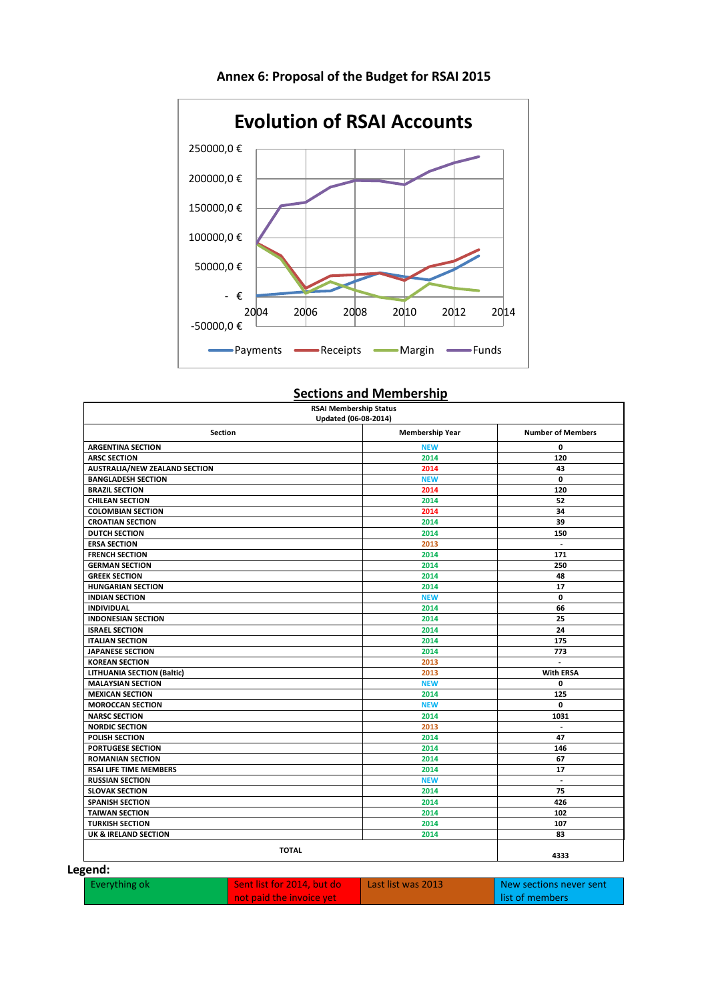

# **Annex 6: Proposal of the Budget for RSAI 2015**

# **Sections and Membership**

| <b>Section</b>                       | Updated (06-08-2014)<br><b>Membership Year</b> | <b>Number of Members</b> |
|--------------------------------------|------------------------------------------------|--------------------------|
| <b>ARGENTINA SECTION</b>             | <b>NEW</b>                                     | 0                        |
| <b>ARSC SECTION</b>                  | 2014                                           | 120                      |
| <b>AUSTRALIA/NEW ZEALAND SECTION</b> | 2014                                           | 43                       |
| <b>BANGLADESH SECTION</b>            | <b>NEW</b>                                     | 0                        |
| <b>BRAZIL SECTION</b>                | 2014                                           | 120                      |
| <b>CHILEAN SECTION</b>               | 2014                                           | 52                       |
| <b>COLOMBIAN SECTION</b>             | 2014                                           | 34                       |
| <b>CROATIAN SECTION</b>              | 2014                                           | 39                       |
| <b>DUTCH SECTION</b>                 | 2014                                           | 150                      |
| <b>ERSA SECTION</b>                  | 2013                                           | $\overline{\phantom{a}}$ |
| <b>FRENCH SECTION</b>                | 2014                                           | 171                      |
| <b>GERMAN SECTION</b>                | 2014                                           | 250                      |
| <b>GREEK SECTION</b>                 | 2014                                           | 48                       |
| <b>HUNGARIAN SECTION</b>             | 2014                                           | 17                       |
| <b>INDIAN SECTION</b>                | <b>NEW</b>                                     | 0                        |
| <b>INDIVIDUAL</b>                    | 2014                                           | 66                       |
| <b>INDONESIAN SECTION</b>            | 2014                                           | 25                       |
| <b>ISRAEL SECTION</b>                | 2014                                           | 24                       |
| <b>ITALIAN SECTION</b>               | 2014                                           | 175                      |
| <b>JAPANESE SECTION</b>              | 2014                                           | 773                      |
| <b>KOREAN SECTION</b>                | 2013                                           | $\mathcal{L}$            |
| <b>LITHUANIA SECTION (Baltic)</b>    | 2013                                           | <b>With ERSA</b>         |
| <b>MALAYSIAN SECTION</b>             | <b>NEW</b>                                     | 0                        |
| <b>MEXICAN SECTION</b>               | 2014                                           | 125                      |
| <b>MOROCCAN SECTION</b>              | <b>NEW</b>                                     | 0                        |
| <b>NARSC SECTION</b>                 | 2014                                           | 1031                     |
| <b>NORDIC SECTION</b>                | 2013                                           | $\overline{a}$           |
| <b>POLISH SECTION</b>                | 2014                                           | 47                       |
| <b>PORTUGESE SECTION</b>             | 2014                                           | 146                      |
| <b>ROMANIAN SECTION</b>              | 2014                                           | 67                       |
| <b>RSAI LIFE TIME MEMBERS</b>        | 2014                                           | 17                       |
| <b>RUSSIAN SECTION</b>               | <b>NEW</b>                                     | $\overline{\phantom{a}}$ |
| <b>SLOVAK SECTION</b>                | 2014                                           | 75                       |
| <b>SPANISH SECTION</b>               | 2014                                           | 426                      |
| <b>TAIWAN SECTION</b>                | 2014                                           | 102                      |
| <b>TURKISH SECTION</b>               | 2014                                           | 107                      |
| UK & IRELAND SECTION                 | 2014                                           | 83                       |
| <b>TOTAL</b>                         | 4333                                           |                          |

#### **Legend:**

| Everything ok | l Sent list for 2014, but do l | Last list was 2013 | New sections never sent |
|---------------|--------------------------------|--------------------|-------------------------|
|               | not paid the invoice yet       |                    | l list of members       |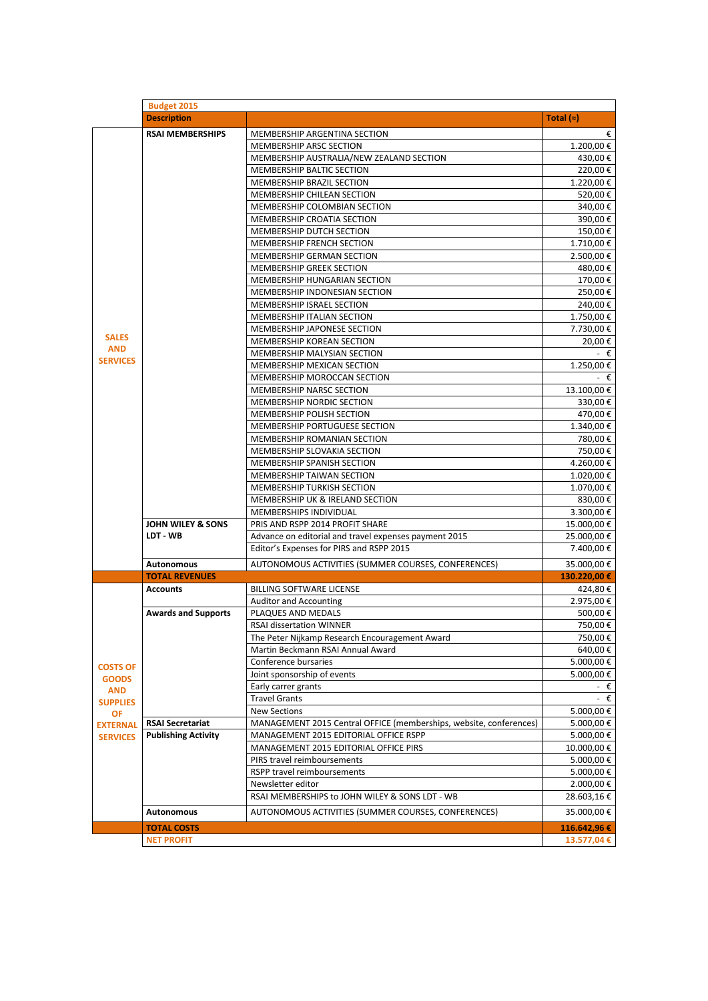|                 | <b>Budget 2015</b>         |                                                                    |              |
|-----------------|----------------------------|--------------------------------------------------------------------|--------------|
|                 | <b>Description</b>         |                                                                    | Total $(z)$  |
|                 | <b>RSAI MEMBERSHIPS</b>    | €                                                                  |              |
|                 |                            | MEMBERSHIP ARGENTINA SECTION<br>MEMBERSHIP ARSC SECTION            | 1.200,00€    |
|                 |                            | MEMBERSHIP AUSTRALIA/NEW ZEALAND SECTION                           | 430,00€      |
|                 |                            | MEMBERSHIP BALTIC SECTION                                          | 220,00€      |
|                 |                            | MEMBERSHIP BRAZIL SECTION                                          | 1.220,00 €   |
|                 |                            | MEMBERSHIP CHILEAN SECTION                                         | 520,00€      |
|                 |                            | MEMBERSHIP COLOMBIAN SECTION                                       | 340,00€      |
|                 |                            | MEMBERSHIP CROATIA SECTION                                         | 390,00€      |
|                 |                            | MEMBERSHIP DUTCH SECTION                                           | 150,00€      |
|                 |                            | MEMBERSHIP FRENCH SECTION                                          | 1.710,00€    |
|                 |                            | MEMBERSHIP GERMAN SECTION                                          | 2.500,00 €   |
|                 |                            | MEMBERSHIP GREEK SECTION                                           | 480,00 €     |
|                 |                            | MEMBERSHIP HUNGARIAN SECTION                                       | 170,00 €     |
|                 |                            | MEMBERSHIP INDONESIAN SECTION                                      | 250,00€      |
|                 |                            | MEMBERSHIP ISRAEL SECTION                                          | 240,00€      |
|                 |                            | MEMBERSHIP ITALIAN SECTION                                         | 1.750,00 €   |
|                 |                            | MEMBERSHIP JAPONESE SECTION                                        | 7.730,00 €   |
| <b>SALES</b>    |                            | MEMBERSHIP KOREAN SECTION                                          | 20,00 €      |
| <b>AND</b>      |                            | MEMBERSHIP MALYSIAN SECTION                                        | - €          |
| <b>SERVICES</b> |                            | MEMBERSHIP MEXICAN SECTION                                         | 1.250,00 €   |
|                 |                            | MEMBERSHIP MOROCCAN SECTION                                        | - €          |
|                 |                            | MEMBERSHIP NARSC SECTION                                           | 13.100,00 €  |
|                 |                            | MEMBERSHIP NORDIC SECTION                                          | 330,00€      |
|                 |                            | MEMBERSHIP POLISH SECTION                                          | 470,00€      |
|                 |                            | MEMBERSHIP PORTUGUESE SECTION                                      | 1.340,00 €   |
|                 |                            | MEMBERSHIP ROMANIAN SECTION                                        | 780,00€      |
|                 |                            | MEMBERSHIP SLOVAKIA SECTION                                        | 750,00€      |
|                 |                            | MEMBERSHIP SPANISH SECTION                                         | 4.260,00 €   |
|                 |                            | MEMBERSHIP TAIWAN SECTION                                          | 1.020,00 €   |
|                 |                            | MEMBERSHIP TURKISH SECTION                                         | 1.070,00 €   |
|                 |                            | MEMBERSHIP UK & IRELAND SECTION                                    | 830,00€      |
|                 |                            | MEMBERSHIPS INDIVIDUAL                                             | 3.300,00 €   |
|                 | JOHN WILEY & SONS          | PRIS AND RSPP 2014 PROFIT SHARE                                    | 15.000,00 €  |
|                 | LDT - WB                   | Advance on editorial and travel expenses payment 2015              | 25.000,00 €  |
|                 |                            | Editor's Expenses for PIRS and RSPP 2015                           | 7.400,00 €   |
|                 | <b>Autonomous</b>          | AUTONOMOUS ACTIVITIES (SUMMER COURSES, CONFERENCES)                | 35.000,00 €  |
|                 | <b>TOTAL REVENUES</b>      |                                                                    | 130.220,00 € |
|                 | <b>Accounts</b>            | <b>BILLING SOFTWARE LICENSE</b>                                    | 424,80€      |
|                 |                            | <b>Auditor and Accounting</b>                                      | 2.975,00 €   |
|                 | <b>Awards and Supports</b> | PLAQUES AND MEDALS                                                 | 500,00€      |
|                 |                            | <b>RSAI dissertation WINNER</b>                                    | 750,00 €     |
|                 |                            | The Peter Nijkamp Research Encouragement Award                     | 750,00€      |
|                 |                            | Martin Beckmann RSAI Annual Award                                  | 640,00€      |
| <b>COSTS OF</b> |                            | Conference bursaries                                               | 5.000,00 €   |
| <b>GOODS</b>    |                            | Joint sponsorship of events                                        | 5.000,00€    |
| <b>AND</b>      |                            | Early carrer grants                                                | - €          |
| <b>SUPPLIES</b> |                            | <b>Travel Grants</b>                                               | - €          |
| OF              |                            | <b>New Sections</b>                                                | 5.000,00 €   |
| <b>EXTERNAL</b> | <b>RSAI Secretariat</b>    | MANAGEMENT 2015 Central OFFICE (memberships, website, conferences) | 5.000,00€    |
| <b>SERVICES</b> | <b>Publishing Activity</b> | MANAGEMENT 2015 EDITORIAL OFFICE RSPP                              | 5.000,00€    |
|                 |                            | MANAGEMENT 2015 EDITORIAL OFFICE PIRS                              | 10.000,00€   |
|                 |                            | PIRS travel reimboursements                                        | 5.000,00 €   |
|                 |                            | RSPP travel reimboursements                                        | 5.000,00 €   |
|                 |                            | Newsletter editor                                                  | 2.000,00 €   |
|                 |                            | RSAI MEMBERSHIPS to JOHN WILEY & SONS LDT - WB                     | 28.603,16 €  |
|                 | <b>Autonomous</b>          | AUTONOMOUS ACTIVITIES (SUMMER COURSES, CONFERENCES)                | 35.000,00 €  |
|                 | <b>TOTAL COSTS</b>         |                                                                    | 116.642,96€  |
|                 | <b>NET PROFIT</b>          |                                                                    | 13.577,04 €  |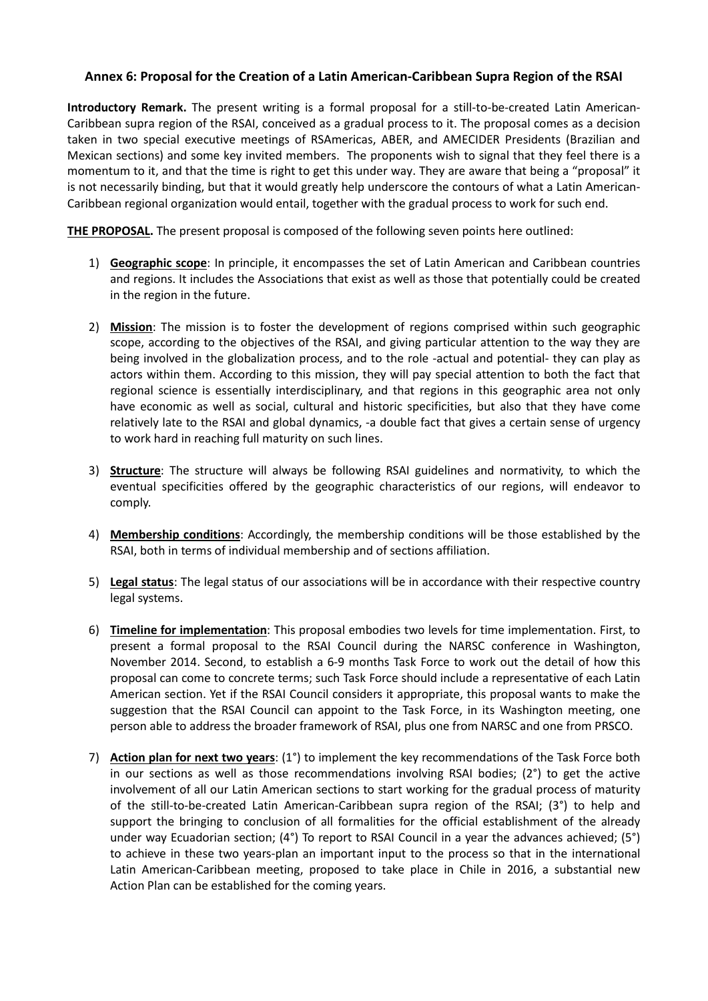# **Annex 6: Proposal for the Creation of a Latin American-Caribbean Supra Region of the RSAI**

**Introductory Remark.** The present writing is a formal proposal for a still-to-be-created Latin American-Caribbean supra region of the RSAI, conceived as a gradual process to it. The proposal comes as a decision taken in two special executive meetings of RSAmericas, ABER, and AMECIDER Presidents (Brazilian and Mexican sections) and some key invited members. The proponents wish to signal that they feel there is a momentum to it, and that the time is right to get this under way. They are aware that being a "proposal" it is not necessarily binding, but that it would greatly help underscore the contours of what a Latin American-Caribbean regional organization would entail, together with the gradual process to work for such end.

**THE PROPOSAL.** The present proposal is composed of the following seven points here outlined:

- 1) **Geographic scope**: In principle, it encompasses the set of Latin American and Caribbean countries and regions. It includes the Associations that exist as well as those that potentially could be created in the region in the future.
- 2) **Mission**: The mission is to foster the development of regions comprised within such geographic scope, according to the objectives of the RSAI, and giving particular attention to the way they are being involved in the globalization process, and to the role -actual and potential- they can play as actors within them. According to this mission, they will pay special attention to both the fact that regional science is essentially interdisciplinary, and that regions in this geographic area not only have economic as well as social, cultural and historic specificities, but also that they have come relatively late to the RSAI and global dynamics, -a double fact that gives a certain sense of urgency to work hard in reaching full maturity on such lines.
- 3) **Structure**: The structure will always be following RSAI guidelines and normativity, to which the eventual specificities offered by the geographic characteristics of our regions, will endeavor to comply.
- 4) **Membership conditions**: Accordingly, the membership conditions will be those established by the RSAI, both in terms of individual membership and of sections affiliation.
- 5) **Legal status**: The legal status of our associations will be in accordance with their respective country legal systems.
- 6) **Timeline for implementation**: This proposal embodies two levels for time implementation. First, to present a formal proposal to the RSAI Council during the NARSC conference in Washington, November 2014. Second, to establish a 6-9 months Task Force to work out the detail of how this proposal can come to concrete terms; such Task Force should include a representative of each Latin American section. Yet if the RSAI Council considers it appropriate, this proposal wants to make the suggestion that the RSAI Council can appoint to the Task Force, in its Washington meeting, one person able to address the broader framework of RSAI, plus one from NARSC and one from PRSCO.
- 7) **Action plan for next two years**: (1°) to implement the key recommendations of the Task Force both in our sections as well as those recommendations involving RSAI bodies; (2°) to get the active involvement of all our Latin American sections to start working for the gradual process of maturity of the still-to-be-created Latin American-Caribbean supra region of the RSAI; (3°) to help and support the bringing to conclusion of all formalities for the official establishment of the already under way Ecuadorian section; (4°) To report to RSAI Council in a year the advances achieved; (5°) to achieve in these two years-plan an important input to the process so that in the international Latin American-Caribbean meeting, proposed to take place in Chile in 2016, a substantial new Action Plan can be established for the coming years.